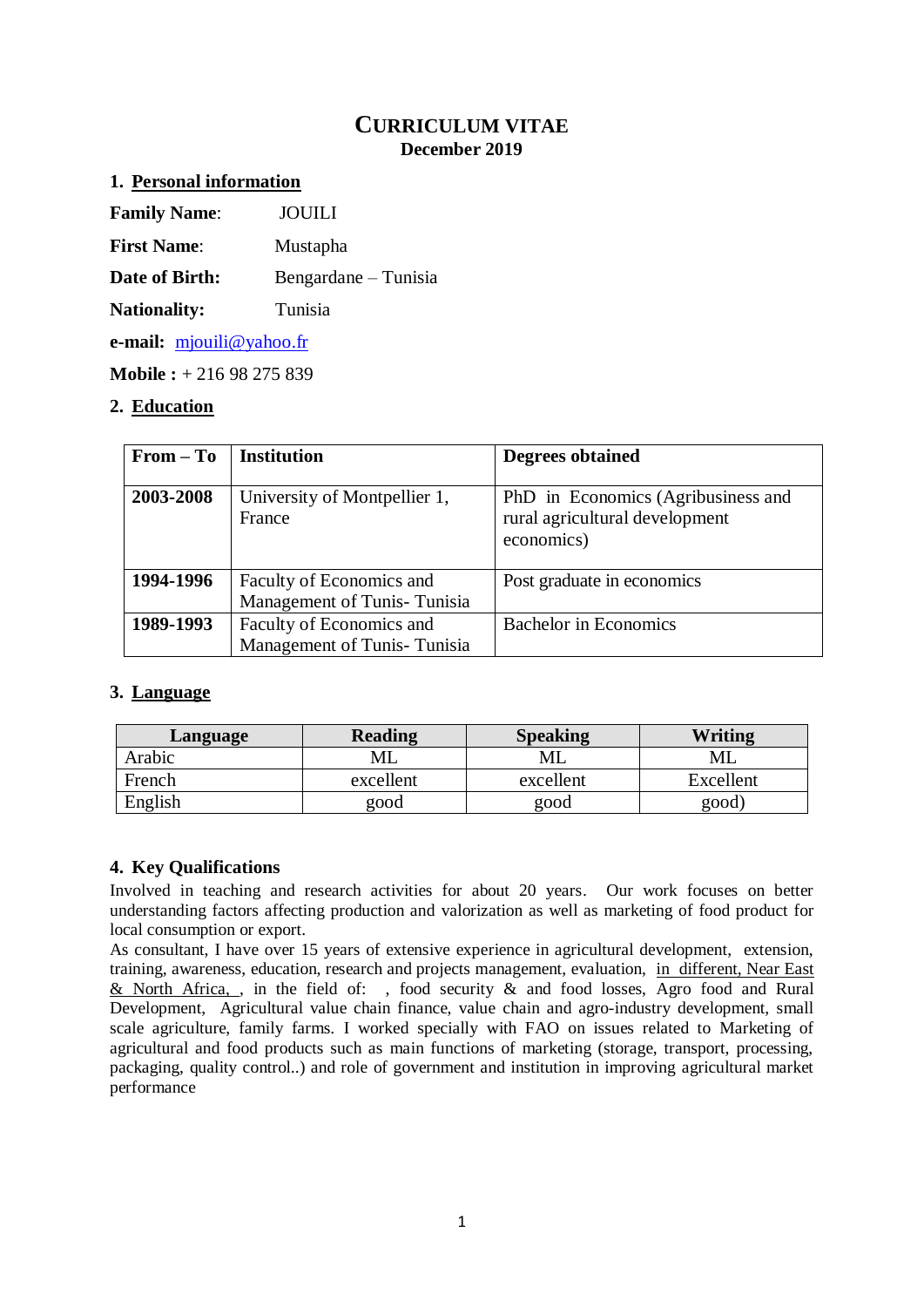## **CURRICULUM VITAE December 2019**

### **1. Personal information**

| <b>Family Name:</b> | JOUILI |  |
|---------------------|--------|--|
|                     |        |  |

**First Name**: Mustapha

**Date of Birth:** Bengardane – Tunisia

**Nationality:** Tunisia

**e-mail:** [mjouili@yahoo.fr](mailto:mjouili@yahoo.fr)

**Mobile :** + 216 98 275 839

## **2. Education**

| $From - To$ | <b>Institution</b>                                       | <b>Degrees obtained</b>                                                            |
|-------------|----------------------------------------------------------|------------------------------------------------------------------------------------|
| 2003-2008   | University of Montpellier 1,<br>France                   | PhD in Economics (Agribusiness and<br>rural agricultural development<br>economics) |
| 1994-1996   | Faculty of Economics and<br>Management of Tunis-Tunisia  | Post graduate in economics                                                         |
| 1989-1993   | Faculty of Economics and<br>Management of Tunis- Tunisia | <b>Bachelor</b> in Economics                                                       |

## **3. Language**

| Language | <b>Reading</b> | <b>Speaking</b> | <b>Writing</b> |
|----------|----------------|-----------------|----------------|
| Arabic   | МL             | МL              | ML             |
| French   | excellent      | excellent       | Excellent      |
| English  | good           | good            | good)          |

## **4. Key Qualifications**

Involved in teaching and research activities for about 20 years. Our work focuses on better understanding factors affecting production and valorization as well as marketing of food product for local consumption or export.

As consultant, I have over 15 years of extensive experience in agricultural development, extension, training, awareness, education, research and projects management, evaluation, in different, Near East & North Africa, , in the field of: , food security & and food losses, Agro food and Rural Development, Agricultural value chain finance, value chain and agro-industry development, small scale agriculture, family farms. I worked specially with FAO on issues related to Marketing of agricultural and food products such as main functions of marketing (storage, transport, processing, packaging, quality control..) and role of government and institution in improving agricultural market performance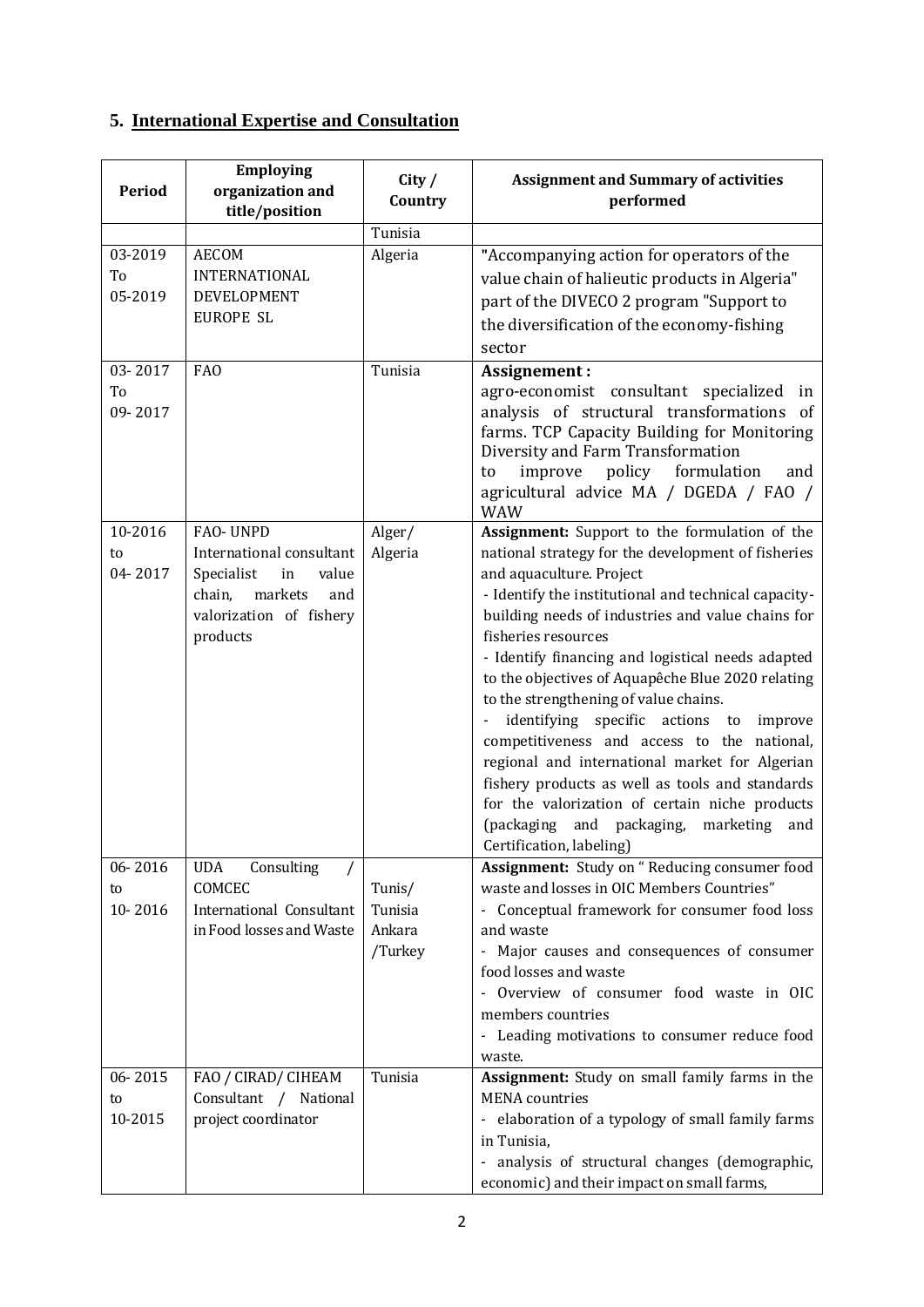# **5. International Expertise and Consultation**

| Period                   | <b>Employing</b><br>organization and<br>title/position                                                                               | City /<br>Country                      | <b>Assignment and Summary of activities</b><br>performed                                                                                                                                                                                                                                                                                                                                                                                                                                                                                                                                                                                                                                                                                                   |
|--------------------------|--------------------------------------------------------------------------------------------------------------------------------------|----------------------------------------|------------------------------------------------------------------------------------------------------------------------------------------------------------------------------------------------------------------------------------------------------------------------------------------------------------------------------------------------------------------------------------------------------------------------------------------------------------------------------------------------------------------------------------------------------------------------------------------------------------------------------------------------------------------------------------------------------------------------------------------------------------|
|                          |                                                                                                                                      | Tunisia                                |                                                                                                                                                                                                                                                                                                                                                                                                                                                                                                                                                                                                                                                                                                                                                            |
| 03-2019<br>To<br>05-2019 | <b>AECOM</b><br>INTERNATIONAL<br>DEVELOPMENT<br><b>EUROPE SL</b>                                                                     | Algeria                                | "Accompanying action for operators of the<br>value chain of halieutic products in Algeria"<br>part of the DIVECO 2 program "Support to<br>the diversification of the economy-fishing<br>sector                                                                                                                                                                                                                                                                                                                                                                                                                                                                                                                                                             |
| 03-2017<br>To<br>09-2017 | FA <sub>O</sub>                                                                                                                      | Tunisia                                | Assignement:<br>agro-economist consultant specialized<br>in<br>analysis of structural transformations of<br>farms. TCP Capacity Building for Monitoring<br>Diversity and Farm Transformation<br>policy formulation<br>improve<br>to<br>and<br>agricultural advice MA / DGEDA / FAO /<br><b>WAW</b>                                                                                                                                                                                                                                                                                                                                                                                                                                                         |
| 10-2016<br>to<br>04-2017 | FAO-UNPD<br>International consultant<br>Specialist<br>in<br>value<br>markets<br>chain,<br>and<br>valorization of fishery<br>products | Alger/<br>Algeria                      | Assignment: Support to the formulation of the<br>national strategy for the development of fisheries<br>and aquaculture. Project<br>- Identify the institutional and technical capacity-<br>building needs of industries and value chains for<br>fisheries resources<br>- Identify financing and logistical needs adapted<br>to the objectives of Aquapêche Blue 2020 relating<br>to the strengthening of value chains.<br>specific actions to<br>identifying<br>improve<br>competitiveness and access to the national,<br>regional and international market for Algerian<br>fishery products as well as tools and standards<br>for the valorization of certain niche products<br>(packaging and packaging,<br>marketing<br>and<br>Certification, labeling) |
| 06-2016<br>to<br>10-2016 | Consulting<br><b>UDA</b><br>COMCEC<br>International Consultant<br>in Food losses and Waste                                           | Tunis/<br>Tunisia<br>Ankara<br>/Turkey | Assignment: Study on "Reducing consumer food<br>waste and losses in OIC Members Countries"<br>- Conceptual framework for consumer food loss<br>and waste<br>- Major causes and consequences of consumer<br>food losses and waste<br>Overview of consumer food waste in OIC<br>members countries<br>- Leading motivations to consumer reduce food<br>waste.                                                                                                                                                                                                                                                                                                                                                                                                 |
| 06-2015<br>to<br>10-2015 | FAO / CIRAD/ CIHEAM<br>Consultant / National<br>project coordinator                                                                  | Tunisia                                | Assignment: Study on small family farms in the<br><b>MENA</b> countries<br>- elaboration of a typology of small family farms<br>in Tunisia,<br>- analysis of structural changes (demographic,<br>economic) and their impact on small farms,                                                                                                                                                                                                                                                                                                                                                                                                                                                                                                                |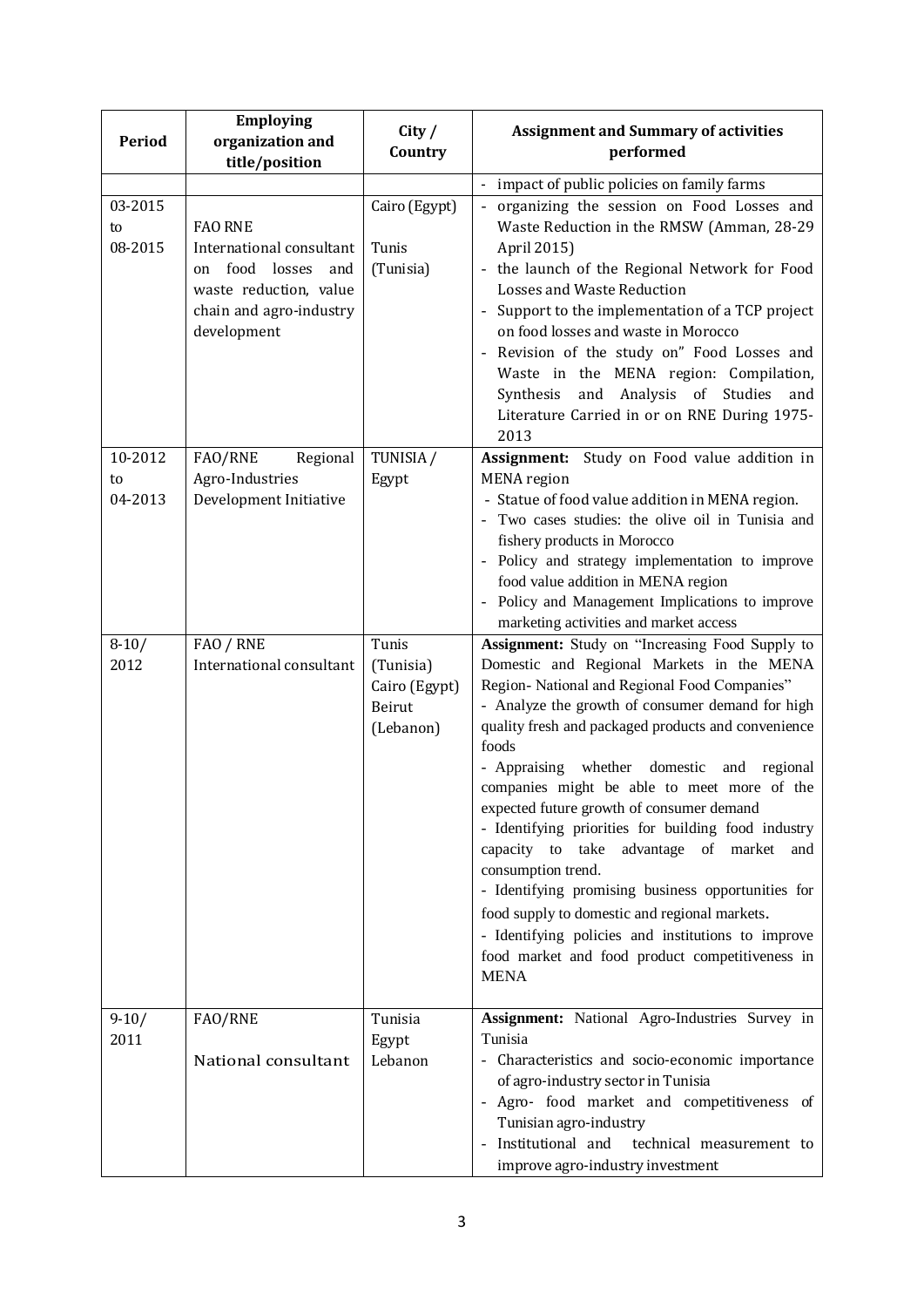| Period                   | <b>Employing</b><br>organization and<br>title/position                                                                                     | City /<br>Country                                          | <b>Assignment and Summary of activities</b><br>performed                                                                                                                                                                                                                                                                                                                                                                                                                                                                                                                                                                                                                                                                                                                         |
|--------------------------|--------------------------------------------------------------------------------------------------------------------------------------------|------------------------------------------------------------|----------------------------------------------------------------------------------------------------------------------------------------------------------------------------------------------------------------------------------------------------------------------------------------------------------------------------------------------------------------------------------------------------------------------------------------------------------------------------------------------------------------------------------------------------------------------------------------------------------------------------------------------------------------------------------------------------------------------------------------------------------------------------------|
|                          |                                                                                                                                            |                                                            | impact of public policies on family farms                                                                                                                                                                                                                                                                                                                                                                                                                                                                                                                                                                                                                                                                                                                                        |
| 03-2015<br>to<br>08-2015 | <b>FAO RNE</b><br>International consultant<br>food losses<br>and<br>on<br>waste reduction, value<br>chain and agro-industry<br>development | Cairo (Egypt)<br>Tunis<br>(Tunisia)                        | organizing the session on Food Losses and<br>$\mathbb{Z}$<br>Waste Reduction in the RMSW (Amman, 28-29<br>April 2015)<br>the launch of the Regional Network for Food<br>Losses and Waste Reduction<br>Support to the implementation of a TCP project<br>on food losses and waste in Morocco<br>Revision of the study on" Food Losses and<br>Waste in the MENA region: Compilation,<br>Synthesis<br>and Analysis of Studies<br>and<br>Literature Carried in or on RNE During 1975-<br>2013                                                                                                                                                                                                                                                                                        |
| 10-2012                  | FAO/RNE<br>Regional                                                                                                                        | TUNISIA /                                                  | Assignment: Study on Food value addition in                                                                                                                                                                                                                                                                                                                                                                                                                                                                                                                                                                                                                                                                                                                                      |
| to<br>04-2013            | Agro-Industries<br>Development Initiative                                                                                                  | Egypt                                                      | <b>MENA</b> region<br>- Statue of food value addition in MENA region.<br>- Two cases studies: the olive oil in Tunisia and<br>fishery products in Morocco<br>- Policy and strategy implementation to improve<br>food value addition in MENA region<br>Policy and Management Implications to improve<br>marketing activities and market access                                                                                                                                                                                                                                                                                                                                                                                                                                    |
| $8-10/$<br>2012          | FAO / RNE<br>International consultant                                                                                                      | Tunis<br>(Tunisia)<br>Cairo (Egypt)<br>Beirut<br>(Lebanon) | <b>Assignment:</b> Study on "Increasing Food Supply to<br>Domestic and Regional Markets in the MENA<br>Region- National and Regional Food Companies"<br>- Analyze the growth of consumer demand for high<br>quality fresh and packaged products and convenience<br>foods<br>whether domestic and regional<br>- Appraising<br>companies might be able to meet more of the<br>expected future growth of consumer demand<br>- Identifying priorities for building food industry<br>capacity to take advantage of market<br>and<br>consumption trend.<br>- Identifying promising business opportunities for<br>food supply to domestic and regional markets.<br>- Identifying policies and institutions to improve<br>food market and food product competitiveness in<br><b>MENA</b> |
| $9-10/$<br>2011          | FAO/RNE<br>National consultant                                                                                                             | Tunisia<br>Egypt<br>Lebanon                                | Assignment: National Agro-Industries Survey in<br>Tunisia<br>- Characteristics and socio-economic importance<br>of agro-industry sector in Tunisia<br>- Agro- food market and competitiveness of<br>Tunisian agro-industry<br>Institutional and<br>technical measurement to<br>improve agro-industry investment                                                                                                                                                                                                                                                                                                                                                                                                                                                                  |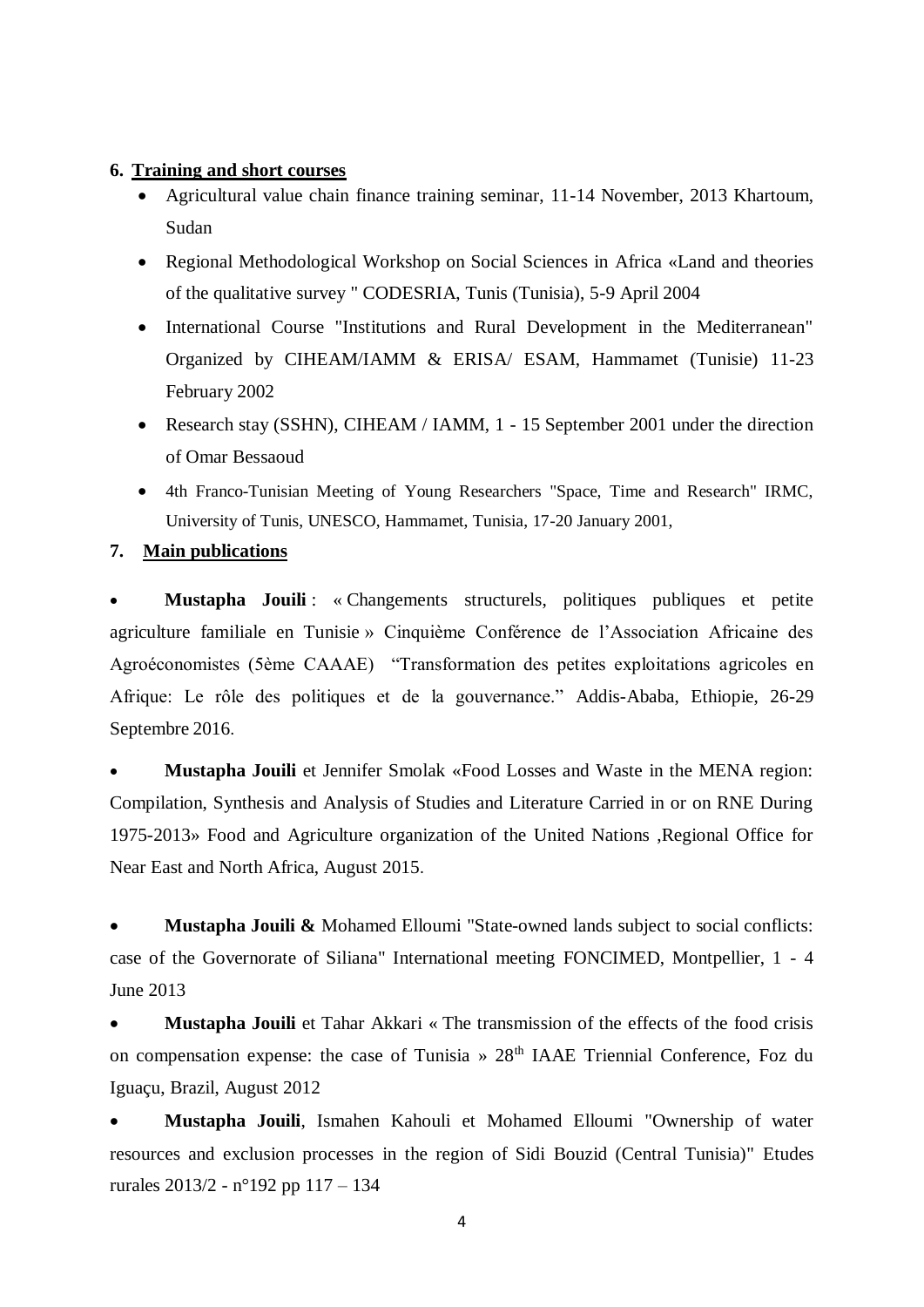#### **6. Training and short courses**

- Agricultural value chain finance training seminar, 11-14 November, 2013 Khartoum, Sudan
- Regional Methodological Workshop on Social Sciences in Africa «Land and theories of the qualitative survey " CODESRIA, Tunis (Tunisia), 5-9 April 2004
- International Course "Institutions and Rural Development in the Mediterranean" Organized by CIHEAM/IAMM & ERISA/ ESAM, Hammamet (Tunisie) 11-23 February 2002
- Research stay (SSHN), CIHEAM / IAMM, 1 15 September 2001 under the direction of Omar Bessaoud
- 4th Franco-Tunisian Meeting of Young Researchers "Space, Time and Research" IRMC, University of Tunis, UNESCO, Hammamet, Tunisia, 17-20 January 2001,

### **7. Main publications**

 **Mustapha Jouili** : « Changements structurels, politiques publiques et petite agriculture familiale en Tunisie » Cinquième Conférence de l'Association Africaine des Agroéconomistes (5ème CAAAE) "Transformation des petites exploitations agricoles en Afrique: Le rôle des politiques et de la gouvernance." Addis-Ababa, Ethiopie, 26-29 Septembre 2016.

 **Mustapha Jouili** et Jennifer Smolak «Food Losses and Waste in the MENA region: Compilation, Synthesis and Analysis of Studies and Literature Carried in or on RNE During 1975-2013» Food and Agriculture organization of the United Nations ,Regional Office for Near East and North Africa, August 2015.

 **Mustapha Jouili &** Mohamed Elloumi "State-owned lands subject to social conflicts: case of the Governorate of Siliana" International meeting FONCIMED, Montpellier, 1 - 4 June 2013

 **Mustapha Jouili** et Tahar Akkari « The transmission of the effects of the food crisis on compensation expense: the case of Tunisia »  $28<sup>th</sup>$  IAAE Triennial Conference, Foz du Iguaçu, Brazil, August 2012

 **Mustapha Jouili**, Ismahen Kahouli et Mohamed Elloumi "Ownership of water resources and exclusion processes in the region of Sidi Bouzid (Central Tunisia)" Etudes rurales 2013/2 - n°192 pp 117 – 134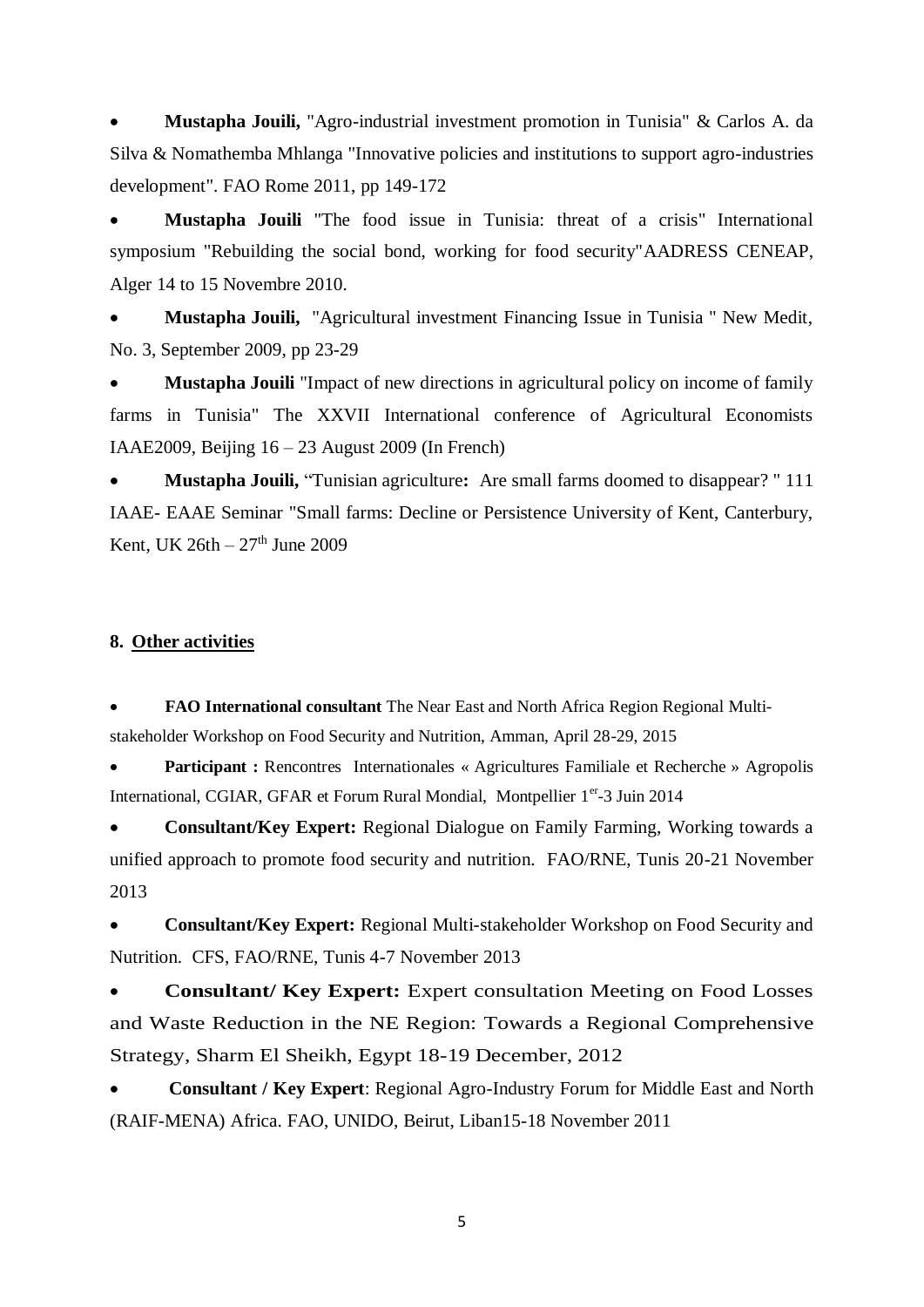**Mustapha Jouili,** "Agro-industrial investment promotion in Tunisia" & Carlos A. da Silva & Nomathemba Mhlanga "Innovative policies and institutions to support agro-industries development". FAO Rome 2011, pp 149-172

 **Mustapha Jouili** "The food issue in Tunisia: threat of a crisis" International symposium "Rebuilding the social bond, working for food security"AADRESS CENEAP, Alger 14 to 15 Novembre 2010.

 **Mustapha Jouili,** "Agricultural investment Financing Issue in Tunisia " New Medit, No. 3, September 2009, pp 23-29

 **Mustapha Jouili** "Impact of new directions in agricultural policy on income of family farms in Tunisia" The XXVII International conference of Agricultural Economists IAAE2009, Beijing 16 – 23 August 2009 (In French)

 **Mustapha Jouili,** "Tunisian agriculture**:** Are small farms doomed to disappear? " 111 IAAE- EAAE Seminar "Small farms: Decline or Persistence University of Kent, Canterbury, Kent, UK  $26th - 27<sup>th</sup>$  June 2009

### **8. Other activities**

 **FAO International consultant** The Near East and North Africa Region Regional Multistakeholder Workshop on Food Security and Nutrition, Amman, April 28-29, 2015

**Participant :** Rencontres Internationales « Agricultures Familiale et Recherche » Agropolis International, CGIAR, GFAR et Forum Rural Mondial, Montpellier 1er-3 Juin 2014

 **Consultant/Key Expert:** Regional Dialogue on Family Farming, Working towards a unified approach to promote food security and nutrition. FAO/RNE, Tunis 20-21 November 2013

 **Consultant/Key Expert:** Regional Multi-stakeholder Workshop on Food Security and Nutrition. CFS, FAO/RNE, Tunis 4-7 November 2013

 **Consultant/ Key Expert:** Expert consultation Meeting on Food Losses and Waste Reduction in the NE Region: Towards a Regional Comprehensive Strategy, Sharm El Sheikh, Egypt 18-19 December, 2012

 **Consultant / Key Expert**: Regional Agro-Industry Forum for Middle East and North (RAIF-MENA) Africa. FAO, UNIDO, Beirut, Liban15-18 November 2011